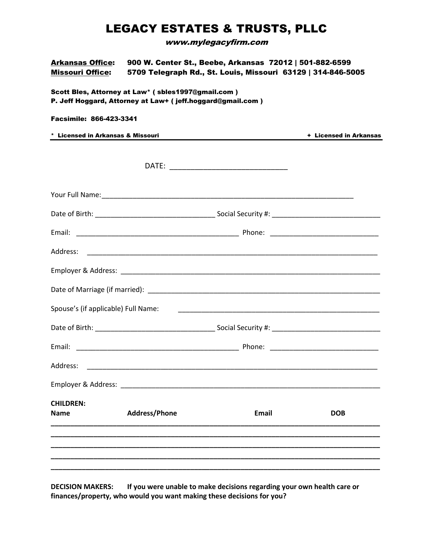## LEGACY ESTATES & TRUSTS, PLLC

www.mylegacyfirm.com

| <b>Arkansas Office:</b><br><b>Missouri Office:</b>                                                               | 900 W. Center St., Beebe, Arkansas 72012   501-882-6599<br>5709 Telegraph Rd., St. Louis, Missouri 63129   314-846-5005 |                                                                                                                                                                                                                                      |                        |  |  |  |  |  |
|------------------------------------------------------------------------------------------------------------------|-------------------------------------------------------------------------------------------------------------------------|--------------------------------------------------------------------------------------------------------------------------------------------------------------------------------------------------------------------------------------|------------------------|--|--|--|--|--|
| Scott Bles, Attorney at Law* (sbles1997@gmail.com)<br>P. Jeff Hoggard, Attorney at Law+ (jeff.hoggard@gmail.com) |                                                                                                                         |                                                                                                                                                                                                                                      |                        |  |  |  |  |  |
| <b>Facsimile: 866-423-3341</b>                                                                                   |                                                                                                                         |                                                                                                                                                                                                                                      |                        |  |  |  |  |  |
| * Licensed in Arkansas & Missouri                                                                                |                                                                                                                         |                                                                                                                                                                                                                                      | + Licensed in Arkansas |  |  |  |  |  |
|                                                                                                                  |                                                                                                                         |                                                                                                                                                                                                                                      |                        |  |  |  |  |  |
|                                                                                                                  |                                                                                                                         |                                                                                                                                                                                                                                      |                        |  |  |  |  |  |
|                                                                                                                  |                                                                                                                         |                                                                                                                                                                                                                                      |                        |  |  |  |  |  |
|                                                                                                                  |                                                                                                                         |                                                                                                                                                                                                                                      |                        |  |  |  |  |  |
|                                                                                                                  |                                                                                                                         |                                                                                                                                                                                                                                      |                        |  |  |  |  |  |
|                                                                                                                  |                                                                                                                         |                                                                                                                                                                                                                                      |                        |  |  |  |  |  |
|                                                                                                                  |                                                                                                                         |                                                                                                                                                                                                                                      |                        |  |  |  |  |  |
|                                                                                                                  |                                                                                                                         |                                                                                                                                                                                                                                      |                        |  |  |  |  |  |
| Spouse's (if applicable) Full Name:                                                                              |                                                                                                                         | <u> 1980 - Johann Harry Harry Harry Harry Harry Harry Harry Harry Harry Harry Harry Harry Harry Harry Harry Harry Harry Harry Harry Harry Harry Harry Harry Harry Harry Harry Harry Harry Harry Harry Harry Harry Harry Harry Ha</u> |                        |  |  |  |  |  |
|                                                                                                                  |                                                                                                                         |                                                                                                                                                                                                                                      |                        |  |  |  |  |  |
|                                                                                                                  |                                                                                                                         |                                                                                                                                                                                                                                      |                        |  |  |  |  |  |
| Address:                                                                                                         |                                                                                                                         |                                                                                                                                                                                                                                      |                        |  |  |  |  |  |
|                                                                                                                  | Employer & Address: North Management of the Contractor of the Contractor of the Contractor of the Contractor o          |                                                                                                                                                                                                                                      |                        |  |  |  |  |  |
| <b>CHILDREN:</b><br><b>Name</b>                                                                                  | <b>Address/Phone</b>                                                                                                    | Email                                                                                                                                                                                                                                | <b>DOB</b>             |  |  |  |  |  |
|                                                                                                                  |                                                                                                                         |                                                                                                                                                                                                                                      |                        |  |  |  |  |  |
|                                                                                                                  |                                                                                                                         |                                                                                                                                                                                                                                      |                        |  |  |  |  |  |

**DECISION MAKERS: If you were unable to make decisions regarding your own health care or finances/property, who would you want making these decisions for you?**